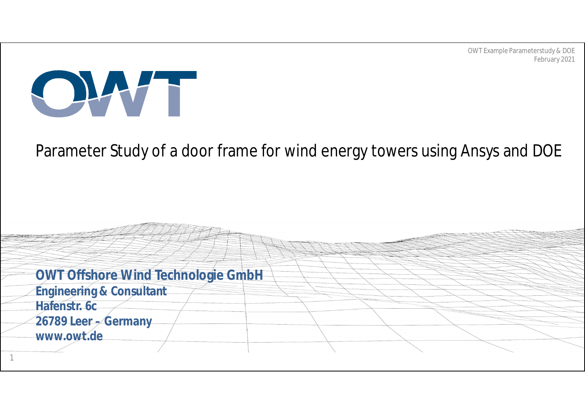

### Parameter Study of a door frame for wind energy towers using Ansys and DOE

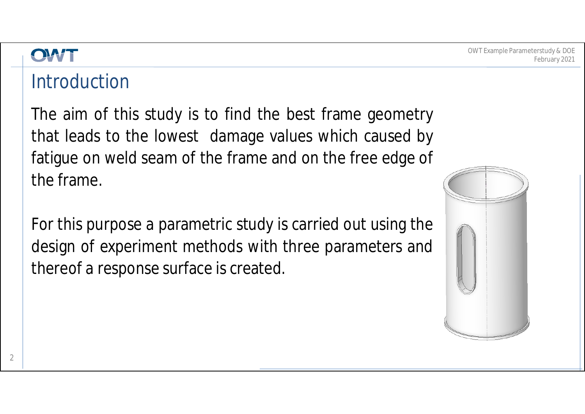### **Introduction**

The aim of this study is to find the best frame geometry that leads to the lowest damage values which caused by fatigue on weld seam of the frame and on the free edge of the frame.

For this purpose a parametric study is carried out using the design of experiment methods with three parameters and thereof a response surface is created.

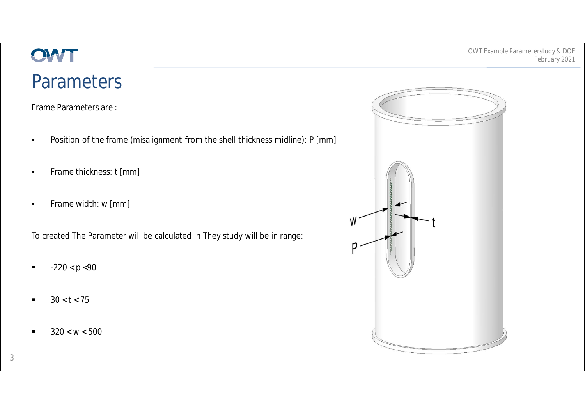## **Parameters**

Frame Parameters are :

- Position of the frame (misalignment from the shell thickness midline): P [mm]
- Frame thickness: t [mm]
- Frame width: w [mm]

To created The Parameter will be calculated in They study will be in range:

- $-220 < p < 90$
- $30 < t < 75$
- $\blacksquare$  320 < w < 500

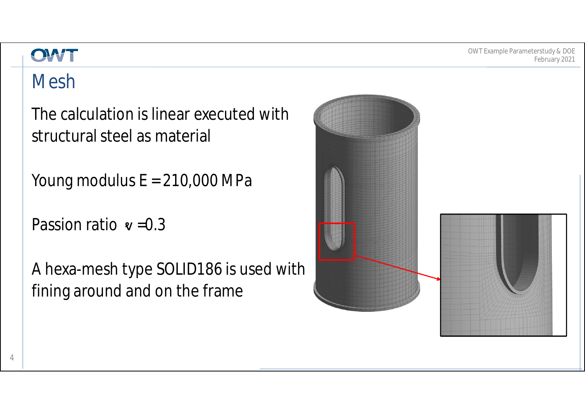### OWT

# Mesh

The calculation is linear executed with structural steel as material

Young modulus  $E = 210,000$  MPa

Passion ratio  $\mathbf{v} = 0.3$ 

A hexa-mesh type SOLID186 is used with fining around and on the frame

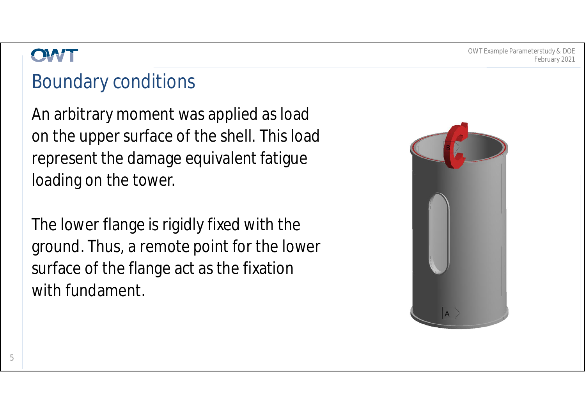### Boundary conditions

An arbitrary moment was applied as load on the upper surface of the shell. This load represent the damage equivalent fatigue loading on the tower.

The lower flange is rigidly fixed with the ground. Thus, a remote point for the lower surface of the flange act as the fixation with fundament.

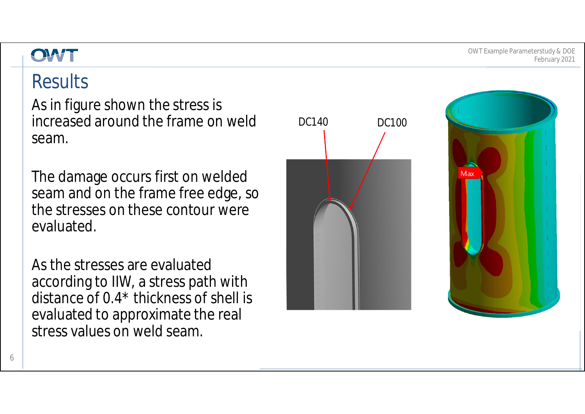OWT Example Parameterstudy & DOE February 2021

# **Results**

As in figure shown the stress is increased around the frame on weld seam.

The damage occurs first on welded seam and on the frame free edge, so the stresses on these contour were evaluated.

As the stresses are evaluated according to IIW, a stress path with distance of 0.4\* thickness of shell is evaluated to approximate the real stress values on weld seam.



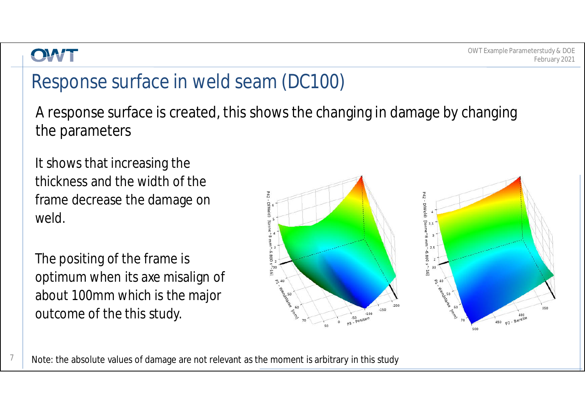7

# Response surface in weld seam (DC100)

A response surface is created, this shows the changing in damage by changing the parameters

It shows that increasing the thickness and the width of the frame decrease the damage on weld.

The positing of the frame is optimum when its axe misalign of about 100mm which is the major outcome of the this study.



Note: the absolute values of damage are not relevant as the moment is arbitrary in this study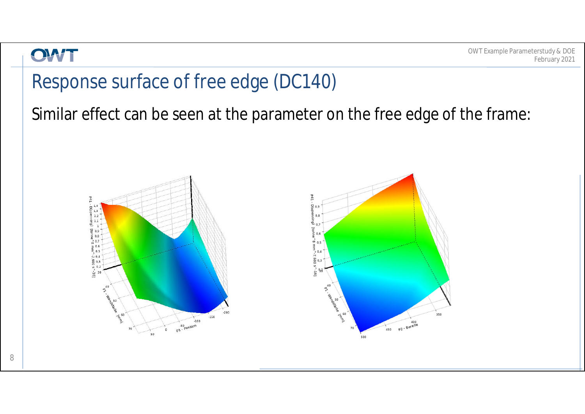

### Response surface of free edge (DC140)

Similar effect can be seen at the parameter on the free edge of the frame:

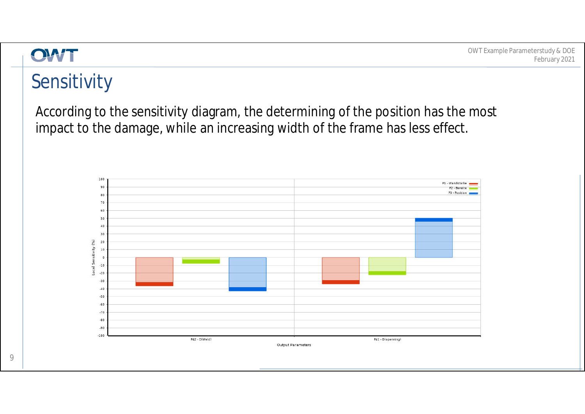

# Sensitivity

According to the sensitivity diagram, the determining of the position has the most impact to the damage, while an increasing width of the frame has less effect.

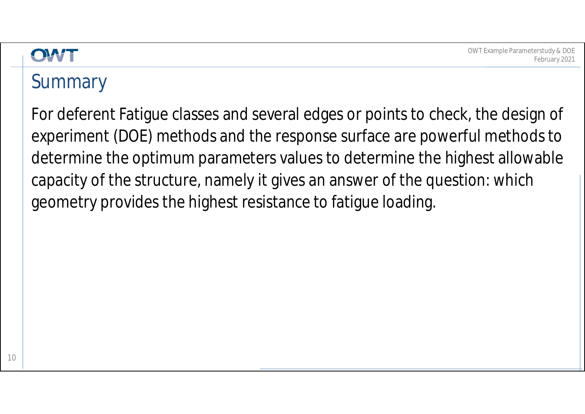# **Summary**

For deferent Fatigue classes and several edges or points to check, the design of experiment (DOE) methods and the response surface are powerful methods to determine the optimum parameters values to determine the highest allowable capacity of the structure, namely it gives an answer of the question: which geometry provides the highest resistance to fatigue loading.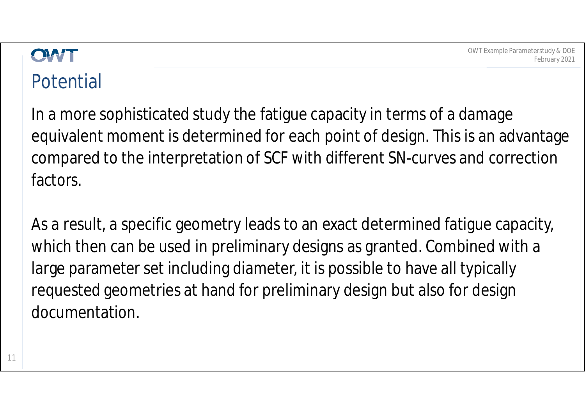

## Potential

In a more sophisticated study the fatigue capacity in terms of a damage equivalent moment is determined for each point of design. This is an advantage compared to the interpretation of SCF with different SN-curves and correction factors.

As a result, a specific geometry leads to an exact determined fatigue capacity, which then can be used in preliminary designs as granted. Combined with a large parameter set including diameter, it is possible to have all typically requested geometries at hand for preliminary design but also for design documentation.